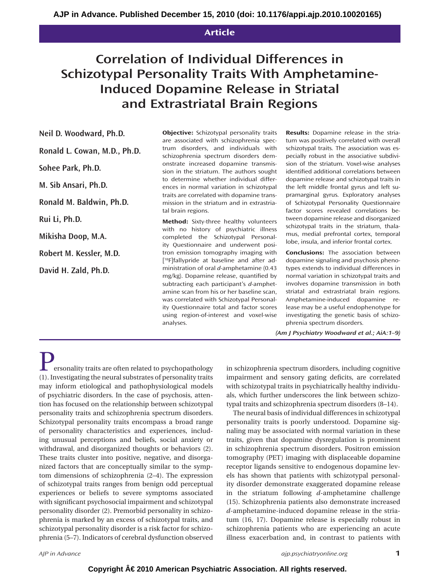## **Article**

# **Correlation of Individual Differences in Schizotypal Personality Traits With Amphetamine-Induced Dopamine Release in Striatal and Extrastriatal Brain Regions**

**Neil D. Woodward, Ph.D.**

**Ronald L. Cowan, M.D., Ph.D.**

**Sohee Park, Ph.D.**

**M. Sib Ansari, Ph.D.**

**Ronald M. Baldwin, Ph.D.**

**Rui Li, Ph.D.**

**Mikisha Doop, M.A.**

**Robert M. Kessler, M.D.**

**David H. Zald, Ph.D.**

**Objective:** Schizotypal personality traits are associated with schizophrenia spectrum disorders, and individuals with schizophrenia spectrum disorders demonstrate increased dopamine transmission in the striatum. The authors sought to determine whether individual differences in normal variation in schizotypal traits are correlated with dopamine transmission in the striatum and in extrastriatal brain regions.

**Method:** Sixty-three healthy volunteers with no history of psychiatric illness completed the Schizotypal Personality Questionnaire and underwent positron emission tomography imaging with [<sup>18</sup>F]fallypride at baseline and after administration of oral *d*-amphetamine (0.43 mg/kg). Dopamine release, quantified by subtracting each participant's *d*-amphetamine scan from his or her baseline scan, was correlated with Schizotypal Personality Questionnaire total and factor scores using region-of-interest and voxel-wise analyses.

**Results:** Dopamine release in the striatum was positively correlated with overall schizotypal traits. The association was especially robust in the associative subdivision of the striatum. Voxel-wise analyses identified additional correlations between dopamine release and schizotypal traits in the left middle frontal gyrus and left supramarginal gyrus. Exploratory analyses of Schizotypal Personality Questionnaire factor scores revealed correlations between dopamine release and disorganized schizotypal traits in the striatum, thalamus, medial prefrontal cortex, temporal lobe, insula, and inferior frontal cortex.

**Conclusions:** The association between dopamine signaling and psychosis phenotypes extends to individual differences in normal variation in schizotypal traits and involves dopamine transmission in both striatal and extrastriatal brain regions. Amphetamine-induced dopamine release may be a useful endophenotype for investigating the genetic basis of schizophrenia spectrum disorders.

*(Am J Psychiatry Woodward et al.; AiA:1–9)*

ersonality traits are often related to psychopathology (1). Investigating the neural substrates of personality traits may inform etiological and pathophysiological models of psychiatric disorders. In the case of psychosis, attention has focused on the relationship between schizotypal personality traits and schizophrenia spectrum disorders. Schizotypal personality traits encompass a broad range of personality characteristics and experiences, including unusual perceptions and beliefs, social anxiety or withdrawal, and disorganized thoughts or behaviors (2). These traits cluster into positive, negative, and disorganized factors that are conceptually similar to the symptom dimensions of schizophrenia (2–4). The expression of schizotypal traits ranges from benign odd perceptual experiences or beliefs to severe symptoms associated with significant psychosocial impairment and schizotypal personality disorder (2). Premorbid personality in schizophrenia is marked by an excess of schizotypal traits, and schizotypal personality disorder is a risk factor for schizophrenia (5–7). Indicators of cerebral dysfunction observed

in schizophrenia spectrum disorders, including cognitive impairment and sensory gating deficits, are correlated with schizotypal traits in psychiatrically healthy individuals, which further underscores the link between schizotypal traits and schizophrenia spectrum disorders (8–14).

The neural basis of individual differences in schizotypal personality traits is poorly understood. Dopamine signaling may be associated with normal variation in these traits, given that dopamine dysregulation is prominent in schizophrenia spectrum disorders. Positron emission tomography (PET) imaging with displaceable dopamine receptor ligands sensitive to endogenous dopamine levels has shown that patients with schizotypal personality disorder demonstrate exaggerated dopamine release in the striatum following *d*-amphetamine challenge (15). Schizophrenia patients also demonstrate increased *d*-amphetamine-induced dopamine release in the striatum (16, 17). Dopamine release is especially robust in schizophrenia patients who are experiencing an acute illness exacerbation and, in contrast to patients with

*AJP in Advance ajp.psychiatryonline.org* **1**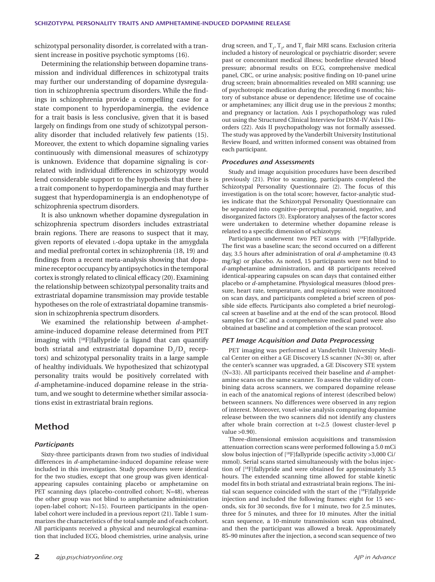schizotypal personality disorder, is correlated with a transient increase in positive psychotic symptoms (16).

Determining the relationship between dopamine transmission and individual differences in schizotypal traits may further our understanding of dopamine dysregulation in schizophrenia spectrum disorders. While the findings in schizophrenia provide a compelling case for a state component to hyperdopaminergia, the evidence for a trait basis is less conclusive, given that it is based largely on findings from one study of schizotypal personality disorder that included relatively few patients (15). Moreover, the extent to which dopamine signaling varies continuously with dimensional measures of schizotypy is unknown. Evidence that dopamine signaling is correlated with individual differences in schizotypy would lend considerable support to the hypothesis that there is a trait component to hyperdopaminergia and may further suggest that hyperdopaminergia is an endophenotype of schizophrenia spectrum disorders.

It is also unknown whether dopamine dysregulation in schizophrenia spectrum disorders includes extrastriatal brain regions. There are reasons to suspect that it may, given reports of elevated L-dopa uptake in the amygdala and medial prefrontal cortex in schizophrenia (18, 19) and findings from a recent meta-analysis showing that dopamine receptor occupancy by antipsychotics in the temporal cortex is strongly related to clinical efficacy (20). Examining the relationship between schizotypal personality traits and extrastriatal dopamine transmission may provide testable hypotheses on the role of extrastriatal dopamine transmission in schizophrenia spectrum disorders.

We examined the relationship between *d*-amphetamine-induced dopamine release determined from PET imaging with [18F]fallypride (a ligand that can quantify both striatal and extrastriatal dopamine  $D_2/D_3$  receptors) and schizotypal personality traits in a large sample of healthy individuals. We hypothesized that schizotypal personality traits would be positively correlated with *d*-amphetamine-induced dopamine release in the striatum, and we sought to determine whether similar associations exist in extrastriatal brain regions.

## **Method**

#### *Participants*

Sixty-three participants drawn from two studies of individual differences in *d*-amphetamine-induced dopamine release were included in this investigation. Study procedures were identical for the two studies, except that one group was given identicalappearing capsules containing placebo or amphetamine on PET scanning days (placebo-controlled cohort; N=48), whereas the other group was not blind to amphetamine administration (open-label cohort; N=15). Fourteen participants in the openlabel cohort were included in a previous report (21). Table 1 summarizes the characteristics of the total sample and of each cohort. All participants received a physical and neurological examination that included ECG, blood chemistries, urine analysis, urine

drug screen, and  $T_1$ ,  $T_2$ , and  $T_2$  flair MRI scans. Exclusion criteria included a history of neurological or psychiatric disorder; severe past or concomitant medical illness; borderline elevated blood pressure; abnormal results on ECG, comprehensive medical panel, CBC, or urine analysis; positive finding on 10-panel urine drug screen; brain abnormalities revealed on MRI scanning; use of psychotropic medication during the preceding 6 months; history of substance abuse or dependence; lifetime use of cocaine or amphetamines; any illicit drug use in the previous 2 months; and pregnancy or lactation. Axis I psychopathology was ruled out using the Structured Clinical Interview for DSM-IV Axis I Disorders (22). Axis II psychopathology was not formally assessed. The study was approved by the Vanderbilt University Institutional Review Board, and written informed consent was obtained from each participant.

#### *Procedures and Assessments*

Study and image acquisition procedures have been described previously (21). Prior to scanning, participants completed the Schizotypal Personality Questionnaire (2). The focus of this investigation is on the total score; however, factor-analytic studies indicate that the Schizotypal Personality Questionnaire can be separated into cognitive-perceptual, paranoid, negative, and disorganized factors (3). Exploratory analyses of the factor scores were undertaken to determine whether dopamine release is related to a specific dimension of schizotypy.

Participants underwent two PET scans with [<sup>18</sup>F]fallypride. The first was a baseline scan; the second occurred on a different day, 3.5 hours after administration of oral *d*-amphetamine (0.43 mg/kg) or placebo. As noted, 15 participants were not blind to *d*-amphetamine administration, and 48 participants received identical-appearing capsules on scan days that contained either placebo or *d*-amphetamine. Physiological measures (blood pressure, heart rate, temperature, and respirations) were monitored on scan days, and participants completed a brief screen of possible side effects. Participants also completed a brief neurological screen at baseline and at the end of the scan protocol. Blood samples for CBC and a comprehensive medical panel were also obtained at baseline and at completion of the scan protocol.

#### *PET Image Acquisition and Data Preprocessing*

PET imaging was performed at Vanderbilt University Medical Center on either a GE Discovery LS scanner (N=30) or, after the center's scanner was upgraded, a GE Discovery STE system (N=33). All participants received their baseline and *d*-amphetamine scans on the same scanner. To assess the validity of combining data across scanners, we compared dopamine release in each of the anatomical regions of interest (described below) between scanners. No differences were observed in any region of interest. Moreover, voxel-wise analysis comparing dopamine release between the two scanners did not identify any clusters after whole brain correction at t=2.5 (lowest cluster-level p value >0.90).

Three-dimensional emission acquisitions and transmission attenuation correction scans were performed following a 5.0 mCi slow bolus injection of [<sup>18</sup>F]fallypride (specific activity >3,000 Ci/ mmol). Serial scans started simultaneously with the bolus injection of [18F]fallypride and were obtained for approximately 3.5 hours. The extended scanning time allowed for stable kinetic model fits in both striatal and extrastriatal brain regions. The initial scan sequence coincided with the start of the [18F]fallypride injection and included the following frames: eight for 15 seconds, six for 30 seconds, five for 1 minute, two for 2.5 minutes, three for 5 minutes, and three for 10 minutes. After the initial scan sequence, a 10-minute transmission scan was obtained, and then the participant was allowed a break. Approximately 85–90 minutes after the injection, a second scan sequence of two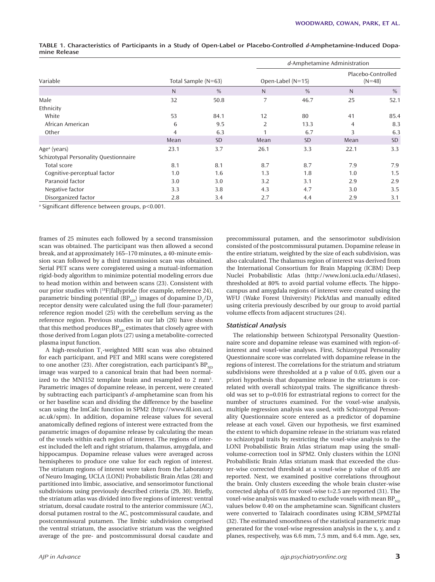|                                       |                     |               |                     | d-Amphetamine Administration |                                |           |
|---------------------------------------|---------------------|---------------|---------------------|------------------------------|--------------------------------|-----------|
| Variable                              | Total Sample (N=63) |               | Open-Label $(N=15)$ |                              | Placebo-Controlled<br>$(N=48)$ |           |
|                                       | N                   | $\frac{0}{0}$ | N                   | $\frac{0}{0}$                | N                              | $\%$      |
| Male                                  | 32                  | 50.8          | 7                   | 46.7                         | 25                             | 52.1      |
| Ethnicity                             |                     |               |                     |                              |                                |           |
| White                                 | 53                  | 84.1          | 12                  | 80                           | 41                             | 85.4      |
| African American                      | 6                   | 9.5           | 2                   | 13.3                         | 4                              | 8.3       |
| Other                                 | $\overline{4}$      | 6.3           |                     | 6.7                          | 3                              | 6.3       |
|                                       | Mean                | <b>SD</b>     | Mean                | <b>SD</b>                    | Mean                           | <b>SD</b> |
| Age <sup>a</sup> (years)              | 23.1                | 3.7           | 26.1                | 3.3                          | 22.1                           | 3.3       |
| Schizotypal Personality Questionnaire |                     |               |                     |                              |                                |           |
| Total score                           | 8.1                 | 8.1           | 8.7                 | 8.7                          | 7.9                            | 7.9       |
| Cognitive-perceptual factor           | 1.0                 | 1.6           | 1.3                 | 1.8                          | 1.0                            | 1.5       |
| Paranoid factor                       | 3.0                 | 3.0           | 3.2                 | 3.1                          | 2.9                            | 2.9       |
| Negative factor                       | 3.3                 | 3.8           | 4.3                 | 4.7                          | 3.0                            | 3.5       |
| Disorganized factor                   | 2.8                 | 3.4           | 2.7                 | 4.4                          | 2.9                            | 3.1       |

**TABLE 1. Characteristics of Participants in a Study of Open-Label or Placebo-Controlled** *d***-Amphetamine-Induced Dopamine Release**

<sup>a</sup> Significant difference between groups, p<0.001.

frames of 25 minutes each followed by a second transmission scan was obtained. The participant was then allowed a second break, and at approximately 165–170 minutes, a 40-minute emission scan followed by a third transmission scan was obtained. Serial PET scans were coregistered using a mutual-information rigid-body algorithm to minimize potential modeling errors due to head motion within and between scans (23). Consistent with our prior studies with [18F]fallypride (for example, reference 24), parametric binding potential (BP<sub>ND</sub>) images of dopamine  $D_2/D_3$ receptor density were calculated using the full (four-parameter) reference region model (25) with the cerebellum serving as the reference region. Previous studies in our lab (26) have shown that this method produces  $BP_{ND}$  estimates that closely agree with those derived from Logan plots (27) using a metabolite-corrected plasma input function.

A high-resolution  $T_1$ -weighted MRI scan was also obtained for each participant, and PET and MRI scans were coregistered to one another (23). After coregistration, each participant's  $BP_{ND}$ image was warped to a canonical brain that had been normalized to the MNI152 template brain and resampled to 2 mm<sup>3</sup>. Parametric images of dopamine release, in percent, were created by subtracting each participant's *d*-amphetamine scan from his or her baseline scan and dividing the difference by the baseline scan using the ImCalc function in SPM2 (http://www.fil.ion.ucl. ac.uk/spm). In addition, dopamine release values for several anatomically defined regions of interest were extracted from the parametric images of dopamine release by calculating the mean of the voxels within each region of interest. The regions of interest included the left and right striatum, thalamus, amygdala, and hippocampus. Dopamine release values were averaged across hemispheres to produce one value for each region of interest. The striatum regions of interest were taken from the Laboratory of Neuro Imaging, UCLA (LONI) Probabilistic Brain Atlas (28) and partitioned into limbic, associative, and sensorimotor functional subdivisions using previously described criteria (29, 30). Briefly, the striatum atlas was divided into five regions of interest: ventral striatum, dorsal caudate rostral to the anterior commissure (AC), dorsal putamen rostral to the AC, postcommissural caudate, and postcommissural putamen. The limbic subdivision comprised the ventral striatum, the associative striatum was the weighted average of the pre- and postcommissural dorsal caudate and

precommissural putamen, and the sensorimotor subdivision consisted of the postcommissural putamen. Dopamine release in the entire striatum, weighted by the size of each subdivision, was also calculated. The thalamus region of interest was derived from the International Consortium for Brain Mapping (ICBM) Deep Nuclei Probabilistic Atlas (http://www.loni.ucla.edu/Atlases), thresholded at 80% to avoid partial volume effects. The hippocampus and amygdala regions of interest were created using the WFU (Wake Forest University) PickAtlas and manually edited using criteria previously described by our group to avoid partial volume effects from adjacent structures (24).

#### *Statistical Analysis*

The relationship between Schizotypal Personality Questionnaire score and dopamine release was examined with region-ofinterest and voxel-wise analyses. First, Schizotypal Personality Questionnaire score was correlated with dopamine release in the regions of interest. The correlations for the striatum and striatum subdivisions were thresholded at a p value of 0.05, given our a priori hypothesis that dopamine release in the striatum is correlated with overall schizotypal traits. The significance threshold was set to p=0.016 for extrastriatal regions to correct for the number of structures examined. For the voxel-wise analysis, multiple regression analysis was used, with Schizotypal Personality Questionnaire score entered as a predictor of dopamine release at each voxel. Given our hypothesis, we first examined the extent to which dopamine release in the striatum was related to schizotypal traits by restricting the voxel-wise analysis to the LONI Probabilistic Brain Atlas striatum map using the smallvolume-correction tool in SPM2. Only clusters within the LONI Probabilistic Brain Atlas striatum mask that exceeded the cluster-wise corrected threshold at a voxel-wise p value of 0.05 are reported. Next, we examined positive correlations throughout the brain. Only clusters exceeding the whole brain cluster-wise corrected alpha of 0.05 for voxel-wise t=2.5 are reported (31). The voxel-wise analysis was masked to exclude voxels with mean  $BP_{ND}$ values below 0.40 on the amphetamine scan. Significant clusters were converted to Talairach coordinates using ICBM\_SPM2Tal (32). The estimated smoothness of the statistical parametric map generated for the voxel-wise regression analysis in the x, y, and z planes, respectively, was 6.6 mm, 7.5 mm, and 6.4 mm. Age, sex,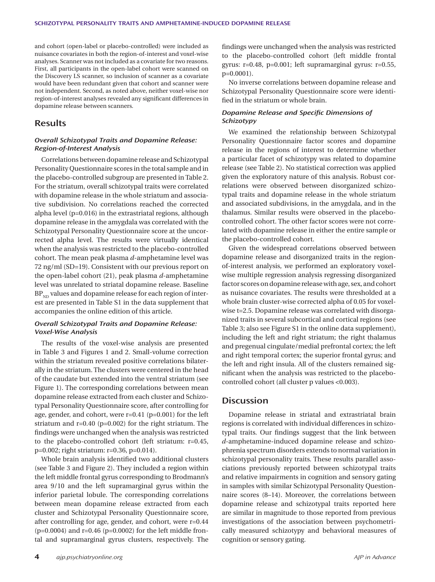and cohort (open-label or placebo-controlled) were included as nuisance covariates in both the region-of-interest and voxel-wise analyses. Scanner was not included as a covariate for two reasons. First, all participants in the open-label cohort were scanned on the Discovery LS scanner, so inclusion of scanner as a covariate would have been redundant given that cohort and scanner were not independent. Second, as noted above, neither voxel-wise nor region-of-interest analyses revealed any significant differences in dopamine release between scanners.

## **Results**

#### *Overall Schizotypal Traits and Dopamine Release: Region-of-Interest Analysis*

Correlations between dopamine release and Schizotypal Personality Questionnaire scores in the total sample and in the placebo-controlled subgroup are presented in Table 2. For the striatum, overall schizotypal traits were correlated with dopamine release in the whole striatum and associative subdivision. No correlations reached the corrected alpha level (p=0.016) in the extrastriatal regions, although dopamine release in the amygdala was correlated with the Schizotypal Personality Questionnaire score at the uncorrected alpha level. The results were virtually identical when the analysis was restricted to the placebo-controlled cohort. The mean peak plasma *d*-amphetamine level was 72 ng/ml (SD=19). Consistent with our previous report on the open-label cohort (21), peak plasma *d*-amphetamine level was unrelated to striatal dopamine release. Baseline  $BP_{ND}$  values and dopamine release for each region of interest are presented in Table S1 in the data supplement that accompanies the online edition of this article.

## *Overall Schizotypal Traits and Dopamine Release: Voxel-Wise Analysis*

The results of the voxel-wise analysis are presented in Table 3 and Figures 1 and 2. Small-volume correction within the striatum revealed positive correlations bilaterally in the striatum. The clusters were centered in the head of the caudate but extended into the ventral striatum (see Figure 1). The corresponding correlations between mean dopamine release extracted from each cluster and Schizotypal Personality Questionnaire score, after controlling for age, gender, and cohort, were r=0.41 (p=0.001) for the left striatum and r=0.40 (p=0.002) for the right striatum. The findings were unchanged when the analysis was restricted to the placebo-controlled cohort (left striatum: r=0.45, p=0.002; right striatum: r=0.36, p=0.014).

Whole brain analysis identified two additional clusters (see Table 3 and Figure 2). They included a region within the left middle frontal gyrus corresponding to Brodmann's area 9/10 and the left supramarginal gyrus within the inferior parietal lobule. The corresponding correlations between mean dopamine release extracted from each cluster and Schizotypal Personality Questionnaire score, after controlling for age, gender, and cohort, were r=0.44  $(p=0.0004)$  and  $r=0.46$  ( $p=0.0002$ ) for the left middle frontal and supramarginal gyrus clusters, respectively. The

findings were unchanged when the analysis was restricted to the placebo-controlled cohort (left middle frontal gyrus: r=0.48, p=0.001; left supramarginal gyrus: r=0.55, p=0.0001).

No inverse correlations between dopamine release and Schizotypal Personality Questionnaire score were identified in the striatum or whole brain.

### **Dopamine Release and Specific Dimensions of** *Schizotypy*

We examined the relationship between Schizotypal Personality Questionnaire factor scores and dopamine release in the regions of interest to determine whether a particular facet of schizotypy was related to dopamine release (see Table 2). No statistical correction was applied given the exploratory nature of this analysis. Robust correlations were observed between disorganized schizotypal traits and dopamine release in the whole striatum and associated subdivisions, in the amygdala, and in the thalamus. Similar results were observed in the placebocontrolled cohort. The other factor scores were not correlated with dopamine release in either the entire sample or the placebo-controlled cohort.

Given the widespread correlations observed between dopamine release and disorganized traits in the regionof-interest analysis, we performed an exploratory voxelwise multiple regression analysis regressing disorganized factor scores on dopamine release with age, sex, and cohort as nuisance covariates. The results were thresholded at a whole brain cluster-wise corrected alpha of 0.05 for voxelwise t=2.5. Dopamine release was correlated with disorganized traits in several subcortical and cortical regions (see Table 3; also see Figure S1 in the online data supplement), including the left and right striatum; the right thalamus and pregenual cingulate/medial prefrontal cortex; the left and right temporal cortex; the superior frontal gyrus; and the left and right insula. All of the clusters remained significant when the analysis was restricted to the placebocontrolled cohort (all cluster p values <0.003).

## **Discussion**

Dopamine release in striatal and extrastriatal brain regions is correlated with individual differences in schizotypal traits. Our findings suggest that the link between *d*-amphetamine-induced dopamine release and schizophrenia spectrum disorders extends to normal variation in schizotypal personality traits. These results parallel associations previously reported between schizotypal traits and relative impairments in cognition and sensory gating in samples with similar Schizotypal Personality Questionnaire scores (8–14). Moreover, the correlations between dopamine release and schizotypal traits reported here are similar in magnitude to those reported from previous investigations of the association between psychometrically measured schizotypy and behavioral measures of cognition or sensory gating.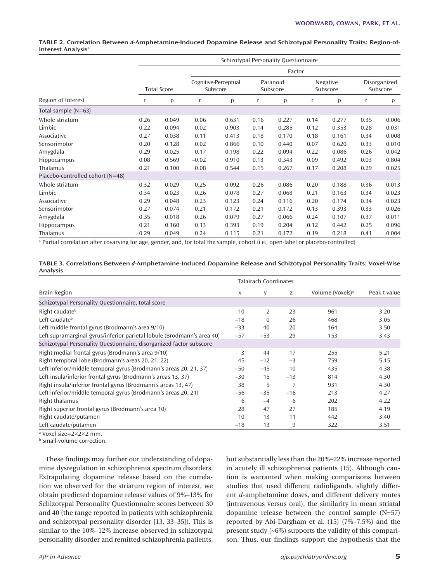#### **TABLE 2. Correlation Between** *d***-Amphetamine-Induced Dopamine Release and Schizotypal Personality Traits: Region-of-Interest Analysisa**

| Region of Interest               | Schizotypal Personality Questionnaire |        |                                  |       |                      |       |                      |       |                          |       |
|----------------------------------|---------------------------------------|--------|----------------------------------|-------|----------------------|-------|----------------------|-------|--------------------------|-------|
|                                  |                                       | Factor |                                  |       |                      |       |                      |       |                          |       |
|                                  | <b>Total Score</b>                    |        | Cognitive-Perceptual<br>Subscore |       | Paranoid<br>Subscore |       | Negative<br>Subscore |       | Disorganized<br>Subscore |       |
|                                  | r                                     | р      | r                                | p     | r                    | р     | r                    | p     | r                        | p     |
| Total sample $(N=63)$            |                                       |        |                                  |       |                      |       |                      |       |                          |       |
| Whole striatum                   | 0.26                                  | 0.049  | 0.06                             | 0.631 | 0.16                 | 0.227 | 0.14                 | 0.277 | 0.35                     | 0.006 |
| Limbic                           | 0.22                                  | 0.094  | 0.02                             | 0.903 | 0.14                 | 0.285 | 0.12                 | 0.353 | 0.28                     | 0.031 |
| Associative                      | 0.27                                  | 0.038  | 0.11                             | 0.413 | 0.18                 | 0.170 | 0.18                 | 0.161 | 0.34                     | 0.008 |
| Sensorimotor                     | 0.20                                  | 0.128  | 0.02                             | 0.866 | 0.10                 | 0.440 | 0.07                 | 0.620 | 0.33                     | 0.010 |
| Amygdala                         | 0.29                                  | 0.025  | 0.17                             | 0.198 | 0.22                 | 0.094 | 0.22                 | 0.086 | 0.26                     | 0.042 |
| <b>Hippocampus</b>               | 0.08                                  | 0.569  | $-0.02$                          | 0.910 | 0.13                 | 0.343 | 0.09                 | 0.492 | 0.03                     | 0.804 |
| Thalamus                         | 0.21                                  | 0.100  | 0.08                             | 0.544 | 0.15                 | 0.267 | 0.17                 | 0.208 | 0.29                     | 0.025 |
| Placebo-controlled cohort (N=48) |                                       |        |                                  |       |                      |       |                      |       |                          |       |
| Whole striatum                   | 0.32                                  | 0.029  | 0.25                             | 0.092 | 0.26                 | 0.086 | 0.20                 | 0.188 | 0.36                     | 0.013 |
| Limbic                           | 0.34                                  | 0.023  | 0.26                             | 0.078 | 0.27                 | 0.068 | 0.21                 | 0.163 | 0.34                     | 0.023 |
| Associative                      | 0.29                                  | 0.048  | 0.23                             | 0.123 | 0.24                 | 0.116 | 0.20                 | 0.174 | 0.34                     | 0.023 |
| Sensorimotor                     | 0.27                                  | 0.074  | 0.21                             | 0.172 | 0.21                 | 0.172 | 0.13                 | 0.393 | 0.33                     | 0.026 |
| Amygdala                         | 0.35                                  | 0.018  | 0.26                             | 0.079 | 0.27                 | 0.066 | 0.24                 | 0.107 | 0.37                     | 0.011 |
| <b>Hippocampus</b>               | 0.21                                  | 0.160  | 0.13                             | 0.393 | 0.19                 | 0.204 | 0.12                 | 0.442 | 0.25                     | 0.096 |
| Thalamus                         | 0.29                                  | 0.049  | 0.24                             | 0.115 | 0.21                 | 0.172 | 0.19                 | 0.218 | 0.41                     | 0.004 |

a Partial correlation after covarying for age, gender, and, for total the sample, cohort (i.e., open-label or placebo-controlled).

| TABLE 3. Correlations Between d-Amphetamine-Induced Dopamine Release and Schizotypal Personality Traits: Voxel-Wise |  |
|---------------------------------------------------------------------------------------------------------------------|--|
| Analysis                                                                                                            |  |

|                                                                        | <b>Talairach Coordinates</b> |          |       |                              |              |
|------------------------------------------------------------------------|------------------------------|----------|-------|------------------------------|--------------|
| <b>Brain Region</b>                                                    | X                            | y        | Z     | Volume (Voxels) <sup>a</sup> | Peak t value |
| Schizotypal Personality Questionnaire, total score                     |                              |          |       |                              |              |
| Right caudate <sup>b</sup>                                             | 10                           | 2        | 23    | 961                          | 3.20         |
| Left caudate <sup>b</sup>                                              | $-18$                        | $\Omega$ | 26    | 468                          | 3.05         |
| Left middle frontal gyrus (Brodmann's area 9/10)                       | $-33$                        | 40       | 20    | 164                          | 3.50         |
| Left supramarginal gyrus/inferior parietal lobule (Brodmann's area 40) | $-57$                        | $-53$    | 29    | 153                          | 3.43         |
| Schizotypal Personality Questionnaire, disorganized factor subscore    |                              |          |       |                              |              |
| Right medial frontal gyrus (Brodmann's area 9/10)                      | 3                            | 44       | 17    | 255                          | 5.21         |
| Right temporal lobe (Brodmann's areas 20, 21, 22)                      | 45                           | $-12$    | $-3$  | 759                          | 5.15         |
| Left inferior/middle temporal gyrus (Brodmann's areas 20, 21, 37)      | $-50$                        | $-45$    | 10    | 435                          | 4.38         |
| Left insula/inferior frontal gyrus (Brodmann's areas 13, 37)           | $-30$                        | 15       | $-13$ | 814                          | 4.30         |
| Right insula/inferior frontal gyrus (Brodmann's areas 13, 47)          | 38                           | 5        | 7     | 931                          | 4.30         |
| Left inferior/middle temporal gyrus (Brodmann's areas 20, 21)          | $-56$                        | $-35$    | $-16$ | 213                          | 4.27         |
| Right thalamus                                                         | 6                            | $-4$     | 6     | 202                          | 4.22         |
| Right superior frontal gyrus (Brodmann's area 10)                      | 28                           | 47       | 27    | 185                          | 4.19         |
| Right caudate/putamen                                                  | 10                           | 13       | 11    | 442                          | 3.40         |
| Left caudate/putamen                                                   | $-18$                        | 13       | 9     | 322                          | 3.51         |

a Voxel size=2×2×2 mm.

**b** Small-volume correction.

These findings may further our understanding of dopamine dysregulation in schizophrenia spectrum disorders. Extrapolating dopamine release based on the correlation we observed for the striatum region of interest, we obtain predicted dopamine release values of 9%–13% for Schizotypal Personality Questionnaire scores between 30 and 40 (the range reported in patients with schizophrenia and schizotypal personality disorder [13, 33–35]). This is similar to the 10%–12% increase observed in schizotypal personality disorder and remitted schizophrenia patients,

but substantially less than the 20%–22% increase reported in acutely ill schizophrenia patients (15). Although caution is warranted when making comparisons between studies that used different radioligands, slightly different *d*-amphetamine doses, and different delivery routes (intravenous versus oral), the similarity in mean striatal dopamine release between the control sample (N=57) reported by Abi-Dargham et al. (15) (7%–7.5%) and the present study (6%) supports the validity of this comparison. Thus, our findings support the hypothesis that the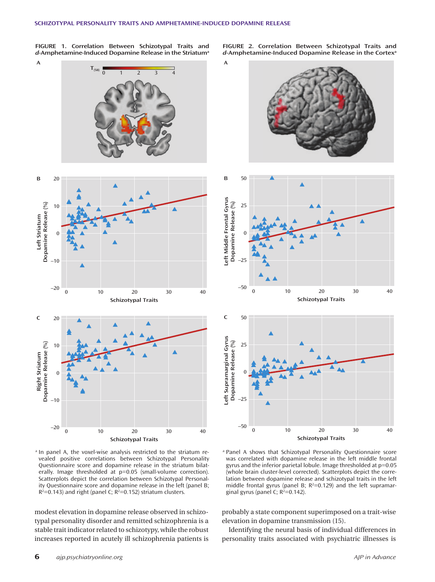**FIGURE 1. Correlation Between Schizotypal Traits and**  *d***-Amphetamine-Induced Dopamine Release in the Striatuma**

**A**

**FIGURE 2. Correlation Between Schizotypal Traits and**  *d***-Amphetamine-Induced Dopamine Release in the Cortexa**



<sup>a</sup> In panel A, the voxel-wise analysis restricted to the striatum revealed positive correlations between Schizotypal Personality Questionnaire score and dopamine release in the striatum bilaterally. Image thresholded at  $p=0.05$  (small-volume correction). Scatterplots depict the correlation between Schizotypal Personality Questionnaire score and dopamine release in the left (panel B;  $R^2$ =0.143) and right (panel C;  $R^2$ =0.152) striatum clusters.

modest elevation in dopamine release observed in schizotypal personality disorder and remitted schizophrenia is a stable trait indicator related to schizotypy, while the robust increases reported in acutely ill schizophrenia patients is



**Schizotypal Traits**

<sup>a</sup> Panel A shows that Schizotypal Personality Questionnaire score was correlated with dopamine release in the left middle frontal gyrus and the inferior parietal lobule. Image thresholded at p=0.05 (whole brain cluster-level corrected). Scatterplots depict the correlation between dopamine release and schizotypal traits in the left middle frontal gyrus (panel B;  $R^2=0.129$ ) and the left supramarginal gyrus (panel C;  $R^2=0.142$ ).

probably a state component superimposed on a trait-wise elevation in dopamine transmission (15).

Identifying the neural basis of individual differences in personality traits associated with psychiatric illnesses is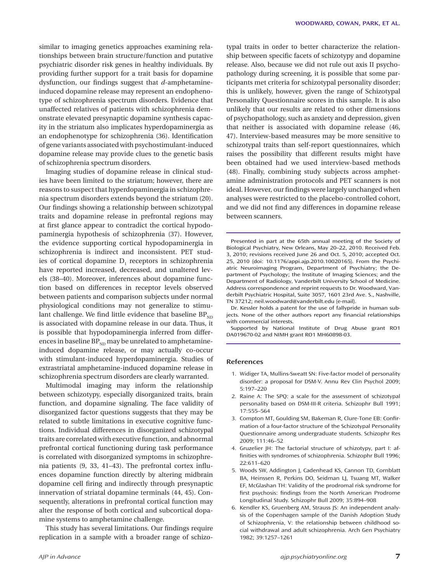similar to imaging genetics approaches examining relationships between brain structure/function and putative psychiatric disorder risk genes in healthy individuals. By providing further support for a trait basis for dopamine dysfunction, our findings suggest that *d*-amphetamineinduced dopamine release may represent an endophenotype of schizophrenia spectrum disorders. Evidence that unaffected relatives of patients with schizophrenia demonstrate elevated presynaptic dopamine synthesis capacity in the striatum also implicates hyperdopaminergia as an endophenotype for schizophrenia (36). Identification of gene variants associated with psychostimulant-induced dopamine release may provide clues to the genetic basis of schizophrenia spectrum disorders.

Imaging studies of dopamine release in clinical studies have been limited to the striatum; however, there are reasons to suspect that hyperdopaminergia in schizophrenia spectrum disorders extends beyond the striatum (20). Our findings showing a relationship between schizotypal traits and dopamine release in prefrontal regions may at first glance appear to contradict the cortical hypodopaminergia hypothesis of schizophrenia (37). However, the evidence supporting cortical hypodopaminergia in schizophrenia is indirect and inconsistent. PET studies of cortical dopamine  $D_1$  receptors in schizophrenia have reported increased, decreased, and unaltered levels (38–40). Moreover, inferences about dopamine function based on differences in receptor levels observed between patients and comparison subjects under normal physiological conditions may not generalize to stimulant challenge. We find little evidence that baseline  $BP_{ND}$ is associated with dopamine release in our data. Thus, it is possible that hypodopaminergia inferred from differences in baseline  $BP_{ND}$  may be unrelated to amphetamineinduced dopamine release, or may actually co-occur with stimulant-induced hyperdopaminergia. Studies of extrastriatal amphetamine-induced dopamine release in schizophrenia spectrum disorders are clearly warranted.

Multimodal imaging may inform the relationship between schizotypy, especially disorganized traits, brain function, and dopamine signaling. The face validity of disorganized factor questions suggests that they may be related to subtle limitations in executive cognitive functions. Individual differences in disorganized schizotypal traits are correlated with executive function, and abnormal prefrontal cortical functioning during task performance is correlated with disorganized symptoms in schizophrenia patients  $(9, 33, 41-43)$ . The prefrontal cortex influences dopamine function directly by altering midbrain dopamine cell firing and indirectly through presynaptic innervation of striatal dopamine terminals (44, 45). Consequently, alterations in prefrontal cortical function may alter the response of both cortical and subcortical dopamine systems to amphetamine challenge.

This study has several limitations. Our findings require replication in a sample with a broader range of schizotypal traits in order to better characterize the relationship between specific facets of schizotypy and dopamine release. Also, because we did not rule out axis II psychopathology during screening, it is possible that some participants met criteria for schizotypal personality disorder; this is unlikely, however, given the range of Schizotypal Personality Questionnaire scores in this sample. It is also unlikely that our results are related to other dimensions of psychopathology, such as anxiety and depression, given that neither is associated with dopamine release (46, 47). Interview-based measures may be more sensitive to schizotypal traits than self-report questionnaires, which raises the possibility that different results might have been obtained had we used interview-based methods (48). Finally, combining study subjects across amphetamine administration protocols and PET scanners is not ideal. However, our findings were largely unchanged when analyses were restricted to the placebo-controlled cohort, and we did not find any differences in dopamine release between scanners.

Presented in part at the 65th annual meeting of the Society of Biological Psychiatry, New Orleans, May 20–22, 2010. Received Feb. 3, 2010; revisions received June 26 and Oct. 5, 2010; accepted Oct. 25, 2010 (doi: 10.1176/appi.ajp.2010.10020165). From the Psychiatric Neuroimaging Program, Department of Psychiatry; the Department of Psychology; the Institute of Imaging Sciences; and the Department of Radiology, Vanderbilt University School of Medicine. Address correspondence and reprint requests to Dr. Woodward, Vanderbilt Psychiatric Hospital, Suite 3057, 1601 23rd Ave. S., Nashville, TN 37212; neil.woodward@vanderbilt.edu (e-mail).

Dr. Kessler holds a patent for the use of fallypride in human subjects. None of the other authors report any financial relationships with commercial interests.

Supported by National Institute of Drug Abuse grant RO1 DA019670-02 and NIMH grant RO1 MH60898-03.

#### **References**

- 1. Widiger TA, Mullins-Sweatt SN: Five-factor model of personality disorder: a proposal for DSM-V. Annu Rev Clin Psychol 2009; 5:197–220
- 2. Raine A: The SPQ: a scale for the assessment of schizotypal personality based on DSM-III-R criteria. Schizophr Bull 1991; 17:555–564
- 3. Compton MT, Goulding SM, Bakeman R, Clure-Tone EB: Confirmation of a four-factor structure of the Schizotypal Personality Questionnaire among undergraduate students. Schizophr Res 2009; 111:46–52
- 4. Gruzelier JH: The factorial structure of schizotypy, part I: affinities with syndromes of schizophrenia. Schizophr Bull 1996; 22:611–620
- 5. Woods SW, Addington J, Cadenhead KS, Cannon TD, Cornblatt BA, Heinssen R, Perkins DO, Seidman LJ, Tsuang MT, Walker EF, McGlashan TH: Validity of the prodromal risk syndrome for first psychosis: findings from the North American Prodrome Longitudinal Study. Schizophr Bull 2009; 35:894–908
- 6. Kendler KS, Gruenberg AM, Strauss JS: An independent analysis of the Copenhagen sample of the Danish Adoption Study of Schizophrenia, V: the relationship between childhood social withdrawal and adult schizophrenia. Arch Gen Psychiatry 1982; 39:1257–1261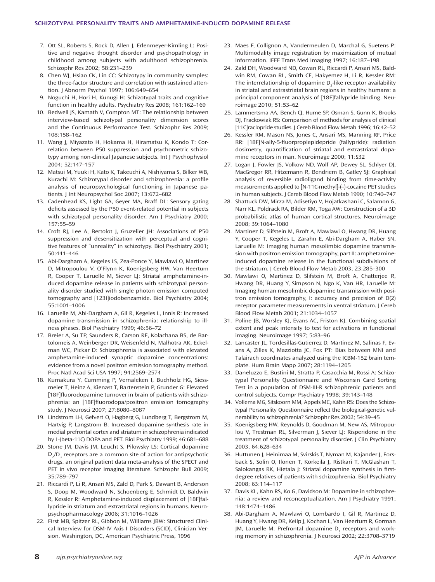- 7. Ott SL, Roberts S, Rock D, Allen J, Erlenmeyer-Kimling L: Positive and negative thought disorder and psychopathology in childhood among subjects with adulthood schizophrenia. Schizophr Res 2002; 58:231–239
- 8. Chen WJ, Hsiao CK, Lin CC: Schizotypy in community samples: the three-factor structure and correlation with sustained attention. J Abnorm Psychol 1997; 106:649–654
- 9. Noguchi H, Hori H, Kunugi H: Schizotypal traits and cognitive function in healthy adults. Psychiatry Res 2008; 161:162–169
- 10. Bedwell JS, Kamath V, Compton MT: The relationship between interview-based schizotypal personality dimension scores and the Continuous Performance Test. Schizophr Res 2009; 108:158–162
- 11. Wang J, Miyazato H, Hokama H, Hiramatsu K, Kondo T: Correlation between P50 suppression and psychometric schizotypy among non-clinical Japanese subjects. Int J Psychophysiol 2004; 52:147–157
- 12. Matsui M, Yuuki H, Kato K, Takeuchi A, Nishiyama S, Bilker WB, Kurachi M: Schizotypal disorder and schizophrenia: a profile analysis of neuropsychological functioning in Japanese patients. J Int Neuropsychol Soc 2007; 13:672–682
- 13. Cadenhead KS, Light GA, Geyer MA, Braff DL: Sensory gating deficits assessed by the P50 event-related potential in subjects with schizotypal personality disorder. Am J Psychiatry 2000; 157:55–59
- 14. Croft RJ, Lee A, Bertolot J, Gruzelier JH: Associations of P50 suppression and desensitization with perceptual and cognitive features of "unreality" in schizotypy. Biol Psychiatry 2001; 50:441–446
- 15. Abi-Dargham A, Kegeles LS, Zea-Ponce Y, Mawlawi O, Martinez D, Mitropoulou V, O'Flynn K, Koenigsberg HW, Van Heertum R, Cooper T, Laruelle M, Siever LJ: Striatal amphetamine-induced dopamine release in patients with schizotypal personality disorder studied with single photon emission computed tomography and [123I]iodobenzamide. Biol Psychiatry 2004; 55:1001–1006
- 16. Laruelle M, Abi-Dargham A, Gil R, Kegeles L, Innis R: Increased dopamine transmission in schizophrenia: relationship to illness phases. Biol Psychiatry 1999; 46:56–72
- 17. Breier A, Su TP, Saunders R, Carson RE, Kolachana BS, de Bartolomeis A, Weinberger DR, Weisenfeld N, Malhotra AK, Eckelman WC, Pickar D: Schizophrenia is associated with elevated amphetamine-induced synaptic dopamine concentrations: evidence from a novel positron emission tomography method. Proc Natl Acad Sci USA 1997; 94:2569–2574
- 18. Kumakura Y, Cumming P, Vernaleken I, Buchholz HG, Siessmeier T, Heinz A, Kienast T, Bartenstein P, Grunder G: Elevated [18F]fluorodopamine turnover in brain of patients with schizophrenia: an [18F]fluorodopa/positron emission tomography study. J Neurosci 2007; 27:8080–8087
- 19. Lindstrom LH, Gefvert O, Hagberg G, Lundberg T, Bergstrom M, Hartvig P, Langstrom B: Increased dopamine synthesis rate in medial prefrontal cortex and striatum in schizophrenia indicated by L-(beta-11C) DOPA and PET. Biol Psychiatry 1999; 46:681–688
- 20. Stone JM, Davis JM, Leucht S, Pilowsky LS: Cortical dopamine  $D<sub>2</sub>/D<sub>3</sub>$  receptors are a common site of action for antipsychotic drugs: an original patient data meta-analysis of the SPECT and PET in vivo receptor imaging literature. Schizophr Bull 2009; 35:789–797
- 21. Riccardi P, Li R, Ansari MS, Zald D, Park S, Dawant B, Anderson S, Doop M, Woodward N, Schoenberg E, Schmidt D, Baldwin R, Kessler R: Amphetamine-induced displacement of [18F]fallypride in striatum and extrastriatal regions in humans. Neuropsychopharmacology 2006; 31:1016–1026
- 22. First MB, Spitzer RL, Gibbon M, Williams JBW: Structured Clinical Interview for DSM-IV Axis I Disorders (SCID), Clinician Version. Washington, DC, American Psychiatric Press, 1996
- 23. Maes F, Collignon A, Vandermeulen D, Marchal G, Suetens P: Multimodality image registration by maximization of mutual information. IEEE Trans Med Imaging 1997; 16:187–198
- 24. Zald DH, Woodward ND, Cowan RL, Riccardi P, Ansari MS, Baldwin RM, Cowan RL, Smith CE, Hakyemez H, Li R, Kessler RM: The interrelationship of dopamine D<sub>2</sub>-like receptor availability in striatal and extrastriatal brain regions in healthy humans: a principal component analysis of [18F]fallypride binding. Neuroimage 2010; 51:53–62
- 25. Lammertsma AA, Bench CJ, Hume SP, Osman S, Gunn K, Brooks DJ, Frackowiak RS: Comparison of methods for analysis of clinical [11C]raclopride studies. J Cereb Blood Flow Metab 1996; 16:42–52
- 26. Kessler RM, Mason NS, Jones C, Ansari MS, Manning RF, Price RR: [18F]N-ally-5-fluorproplepidepride (fallypride): radiation dosimetry, quantification of striatal and extrastriatal dopamine receptors in man. Neuroimage 2000; 11:S32
- 27. Logan J, Fowler JS, Volkow ND, Wolf AP, Dewey SL, Schlyer DJ, MacGregor RR, Hitzemann R, Bendriem B, Gatley SJ: Graphical analysis of reversible radioligand binding from time-activity measurements applied to [N-11C-methyl]-(–)-cocaine PET studies in human subjects. J Cereb Blood Flow Metab 1990; 10:740–747
- 28. Shattuck DW, Mirza M, Adisetiyo V, Hojatkashani C, Salamon G, Narr KL, Poldrack RA, Bilder RM, Toga AW: Construction of a 3D probabilistic atlas of human cortical structures. Neuroimage 2008; 39:1064–1080
- 29. Martinez D, Slifstein M, Broft A, Mawlawi O, Hwang DR, Huang Y, Cooper T, Kegeles L, Zarahn E, Abi-Dargham A, Haber SN, Laruelle M: Imaging human mesolimbic dopamine transmission with positron emission tomography, part II: amphetamineinduced dopamine release in the functional subdivisions of the striatum. J Cereb Blood Flow Metab 2003; 23:285–300
- 30. Mawlawi O, Martinez D, Slifstein M, Broft A, Chatterjee R, Hwang DR, Huang Y, Simpson N, Ngo K, Van HR, Laruelle M: Imaging human mesolimbic dopamine transmission with positron emission tomography, I: accuracy and precision of D(2) receptor parameter measurements in ventral striatum. J Cereb Blood Flow Metab 2001; 21:1034–1057
- 31. Poline JB, Worsley KJ, Evans AC, Friston KJ: Combining spatial extent and peak intensity to test for activations in functional imaging. Neuroimage 1997; 5:83–96
- 32. Lancaster JL, Tordesillas-Gutierrez D, Martinez M, Salinas F, Evans A, Zilles K, Mazziotta JC, Fox PT: Bias between MNI and Talairach coordinates analyzed using the ICBM-152 brain template. Hum Brain Mapp 2007; 28:1194–1205
- 33. Daneluzzo E, Bustini M, Stratta P, Casacchia M, Rossi A: Schizotypal Personality Questionnaire and Wisconsin Card Sorting Test in a population of DSM-III-R schizophrenic patients and control subjects. Compr Psychiatry 1998; 39:143–148
- 34. Vollema MG, Sitskoorn MM, Appels MC, Kahn RS: Does the Schizotypal Personality Questionnaire reflect the biological-genetic vulnerability to schizophrenia? Schizophr Res 2002; 54:39–45
- 35. Koenigsberg HW, Reynolds D, Goodman M, New AS, Mitropoulou V, Trestman RL, Silverman J, Siever LJ: Risperidone in the treatment of schizotypal personality disorder. J Clin Psychiatry 2003; 64:628–634
- 36. Huttunen J, Heinimaa M, Svirskis T, Nyman M, Kajander J, Forsback S, Solin O, Ilonen T, Korkeila J, Ristkari T, McGlashan T, Salokangas RK, Hietala J: Striatal dopamine synthesis in firstdegree relatives of patients with schizophrenia. Biol Psychiatry 2008; 63:114–117
- 37. Davis KL, Kahn RS, Ko G, Davidson M: Dopamine in schizophrenia: a review and reconceptualization. Am J Psychiatry 1991; 148:1474–1486
- 38. Abi-Dargham A, Mawlawi O, Lombardo I, Gil R, Martinez D, Huang Y, Hwang DR, Keilp J, Kochan L, Van Heertum R, Gorman JM, Laruelle M: Prefrontal dopamine D<sub>1</sub> receptors and working memory in schizophrenia. J Neurosci 2002; 22:3708–3719